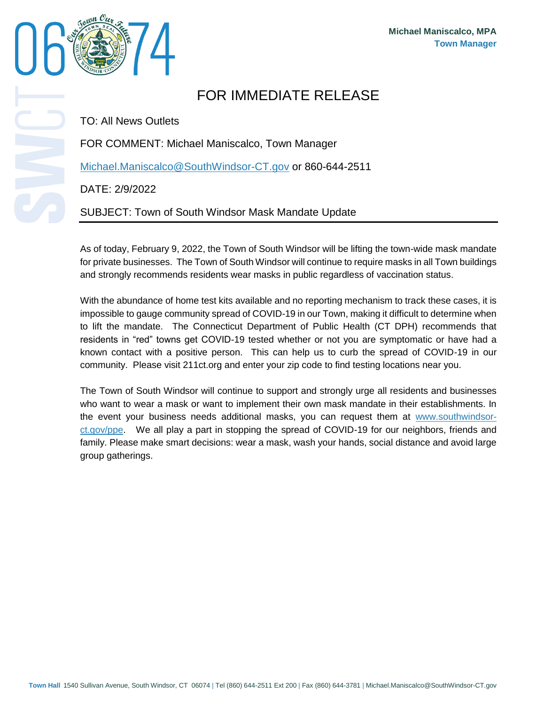

## FOR IMMEDIATE RELEASE

TO: All News Outlets

FOR COMMENT: Michael Maniscalco, Town Manager

[Michael.Maniscalco@SouthWindsor-CT.gov](mailto:Michael.Maniscalco@SouthWindsor-CT.gov) or 860-644-2511

DATE: 2/9/2022

SUBJECT: Town of South Windsor Mask Mandate Update

As of today, February 9, 2022, the Town of South Windsor will be lifting the town-wide mask mandate for private businesses. The Town of South Windsor will continue to require masks in all Town buildings and strongly recommends residents wear masks in public regardless of vaccination status.

With the abundance of home test kits available and no reporting mechanism to track these cases, it is impossible to gauge community spread of COVID-19 in our Town, making it difficult to determine when to lift the mandate. The Connecticut Department of Public Health (CT DPH) recommends that residents in "red" towns get COVID-19 tested whether or not you are symptomatic or have had a known contact with a positive person. This can help us to curb the spread of COVID-19 in our community. Please visit 211ct.org and enter your zip code to find testing locations near you.

The Town of South Windsor will continue to support and strongly urge all residents and businesses who want to wear a mask or want to implement their own mask mandate in their establishments. In the event your business needs additional masks, you can request them at [www.southwindsor](http://www.southwindsor-ct.gov/ppe)[ct.gov/ppe.](http://www.southwindsor-ct.gov/ppe) We all play a part in stopping the spread of COVID-19 for our neighbors, friends and family. Please make smart decisions: wear a mask, wash your hands, social distance and avoid large group gatherings.